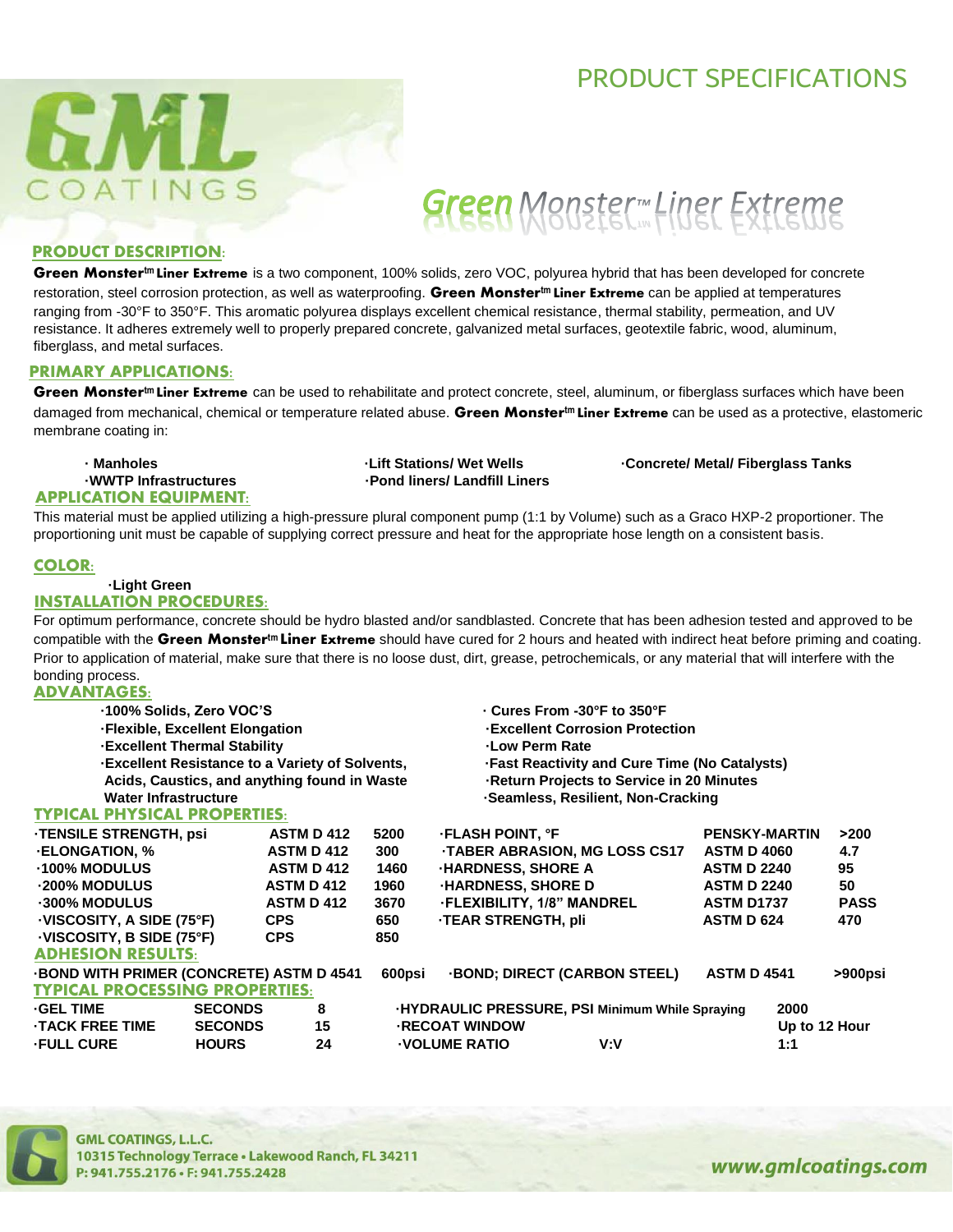### PRODUCT SPECIFICATIONS



## Green Monster Hiner Extreme

### **PRODUCT DESCRIPTION:**

**Green Monstertm Liner Extreme** is a two component, 100% solids, zero VOC, polyurea hybrid that has been developed for concrete restoration, steel corrosion protection, as well as waterproofing. **Green Monstertm Liner Extreme** can be applied at temperatures ranging from -30°F to 350°F. This aromatic polyurea displays excellent chemical resistance, thermal stability, permeation, and UV resistance. It adheres extremely well to properly prepared concrete, galvanized metal surfaces, geotextile fabric, wood, aluminum, fiberglass, and metal surfaces.

### **PRIMARY APPLICATIONS:**

**Green Monstertm Liner Extreme** can be used to rehabilitate and protect concrete, steel, aluminum, or fiberglass surfaces which have been damaged from mechanical, chemical or temperature related abuse. **Green Monstertm Liner Extreme** can be used as a protective, elastomeric membrane coating in:

## **APPLICATION EQUIPMENT:**

**WWTP Infrastructures · Pond liners/ Landfill Liners** 

**• Manholes · Concrete/ Metal/ Fiberglass Tanks** · Concrete/ Metal/ Fiberglass Tanks

This material must be applied utilizing a high-pressure plural component pump (1:1 by Volume) such as a Graco HXP-2 proportioner. The proportioning unit must be capable of supplying correct pressure and heat for the appropriate hose length on a consistent basis.

### **COLOR:**

#### **·Light Green INSTALLATION PROCEDURES:**

For optimum performance, concrete should be hydro blasted and/or sandblasted. Concrete that has been adhesion tested and approved to be compatible with the **Green Monstertm Liner Extreme** should have cured for 2 hours and heated with indirect heat before priming and coating. Prior to application of material, make sure that there is no loose dust, dirt, grease, petrochemicals, or any material that will interfere with the bonding process.

### **ADVANTAGES:**

| 100% Solids, Zero VOC'S<br>$\cdot$ Cures From -30°F to 350°F                                                         |               |
|----------------------------------------------------------------------------------------------------------------------|---------------|
| -Excellent Corrosion Protection<br>-Flexible, Excellent Elongation                                                   |               |
| <b>Excellent Thermal Stability</b><br>-Low Perm Rate                                                                 |               |
| -Excellent Resistance to a Variety of Solvents,<br><b>Fast Reactivity and Cure Time (No Catalysts)</b>               |               |
| Acids, Caustics, and anything found in Waste<br>-Return Projects to Service in 20 Minutes                            |               |
| <b>Water Infrastructure</b><br>-Seamless, Resilient, Non-Cracking                                                    |               |
| <b>TYPICAL PHYSICAL PROPERTIES:</b>                                                                                  |               |
| <b>TENSILE STRENGTH, psi</b><br><b>FLASH POINT, °F</b><br><b>ASTM D 412</b><br><b>PENSKY-MARTIN</b><br>5200          | >200          |
| <b>ELONGATION, %</b><br>TABER ABRASION, MG LOSS CS17<br><b>ASTM D 4060</b><br><b>ASTM D 412</b><br>300               | 4.7           |
| <b>100% MODULUS</b><br><b>ASTM D 412</b><br><b>HARDNESS, SHORE A</b><br><b>ASTM D 2240</b><br>1460                   | 95            |
| <b>ASTM D 412</b><br><b>HARDNESS, SHORE D</b><br>-200% MODULUS<br>1960<br><b>ASTM D 2240</b>                         | 50            |
| -300% MODULUS<br><b>ASTM D 412</b><br><b>FLEXIBILITY, 1/8" MANDREL</b><br>3670<br><b>ASTM D1737</b>                  | <b>PASS</b>   |
| <b>TEAR STRENGTH, pli</b><br>VISCOSITY, A SIDE (75°F)<br><b>ASTM D 624</b><br><b>CPS</b><br>650                      | 470           |
| VISCOSITY, B SIDE (75°F)<br><b>CPS</b><br>850                                                                        |               |
| <b>ADHESION RESULTS:</b>                                                                                             |               |
| <b>BOND WITH PRIMER (CONCRETE) ASTM D 4541</b><br><b>BOND: DIRECT (CARBON STEEL)</b><br><b>ASTM D 4541</b><br>600psi | >900psi       |
| <b>TYPICAL PROCESSING PROPERTIES:</b>                                                                                |               |
| <b>GEL TIME</b><br><b>SECONDS</b><br>8<br>HYDRAULIC PRESSURE, PSI Minimum While Spraying                             | 2000          |
| 15<br><b>TACK FREE TIME</b><br><b>SECONDS</b><br><b>RECOAT WINDOW</b>                                                | Up to 12 Hour |
| <b>FULL CURE</b><br><b>HOURS</b><br>24<br><b>VOLUME RATIO</b><br>V:V                                                 | 1:1           |